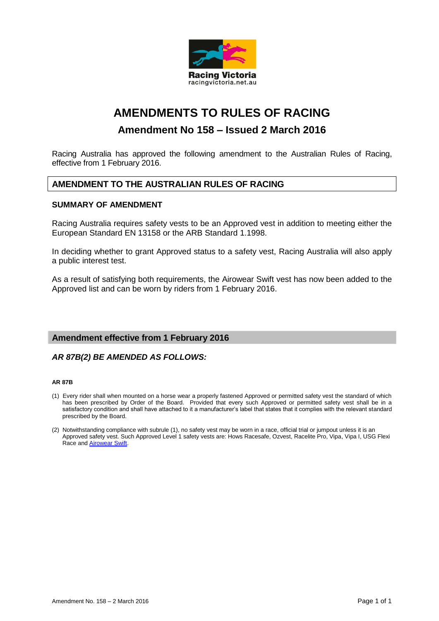

# **AMENDMENTS TO RULES OF RACING**

## **Amendment No 158 – Issued 2 March 2016**

Racing Australia has approved the following amendment to the Australian Rules of Racing, effective from 1 February 2016.

## **AMENDMENT TO THE AUSTRALIAN RULES OF RACING**

## **SUMMARY OF AMENDMENT**

Racing Australia requires safety vests to be an Approved vest in addition to meeting either the European Standard EN 13158 or the ARB Standard 1.1998.

In deciding whether to grant Approved status to a safety vest, Racing Australia will also apply a public interest test.

As a result of satisfying both requirements, the Airowear Swift vest has now been added to the Approved list and can be worn by riders from 1 February 2016.

## **Amendment effective from 1 February 2016**

## *AR 87B(2) BE AMENDED AS FOLLOWS:*

#### **AR 87B**

- (1) Every rider shall when mounted on a horse wear a properly fastened Approved or permitted safety vest the standard of which has been prescribed by Order of the Board. Provided that every such Approved or permitted safety vest shall be in a satisfactory condition and shall have attached to it a manufacturer's label that states that it complies with the relevant standard prescribed by the Board.
- (2) Notwithstanding compliance with subrule (1), no safety vest may be worn in a race, official trial or jumpout unless it is an Approved safety vest. Such Approved Level 1 safety vests are: Hows Racesafe, Ozvest, Racelite Pro, Vipa, Vipa I, USG Flexi Race and Airowear Swift.